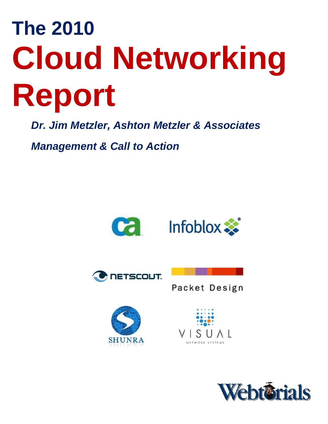# **The 2010 Cloud Networking Report**

*Dr. Jim Metzler, Ashton Metzler & Associates* 

*Management & Call to Action*











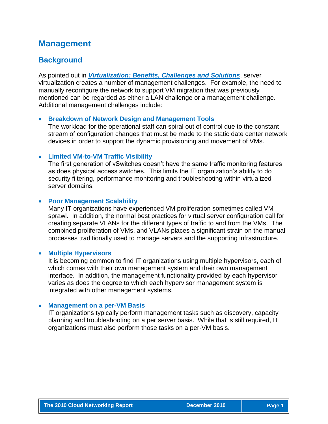# **Management**

## **Background**

As pointed out in *[Virtualization: Benefits, Challenges and Solutions](http://www.webtorials.com/content/2010/06/virtualization.html)*, server virtualization creates a number of management challenges. For example, the need to manually reconfigure the network to support VM migration that was previously mentioned can be regarded as either a LAN challenge or a management challenge. Additional management challenges include:

#### **Breakdown of Network Design and Management Tools**

The workload for the operational staff can spiral out of control due to the constant stream of configuration changes that must be made to the static date center network devices in order to support the dynamic provisioning and movement of VMs.

#### **Limited VM-to-VM Traffic Visibility**

The first generation of vSwitches doesn't have the same traffic monitoring features as does physical access switches. This limits the IT organization's ability to do security filtering, performance monitoring and troubleshooting within virtualized server domains.

#### **Poor Management Scalability**

Many IT organizations have experienced VM proliferation sometimes called VM sprawl. In addition, the normal best practices for virtual server configuration call for creating separate VLANs for the different types of traffic to and from the VMs. The combined proliferation of VMs, and VLANs places a significant strain on the manual processes traditionally used to manage servers and the supporting infrastructure.

#### **Multiple Hypervisors**

It is becoming common to find IT organizations using multiple hypervisors, each of which comes with their own management system and their own management interface. In addition, the management functionality provided by each hypervisor varies as does the degree to which each hypervisor management system is integrated with other management systems.

#### **Management on a per-VM Basis**

IT organizations typically perform management tasks such as discovery, capacity planning and troubleshooting on a per server basis. While that is still required, IT organizations must also perform those tasks on a per-VM basis.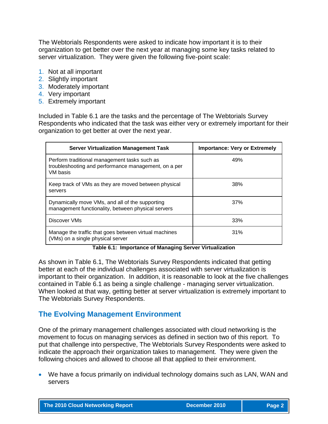The Webtorials Respondents were asked to indicate how important it is to their organization to get better over the next year at managing some key tasks related to server virtualization. They were given the following five-point scale:

- 1. Not at all important
- 2. Slightly important
- 3. Moderately important
- 4. Very important
- 5. Extremely important

Included in Table 6.1 are the tasks and the percentage of The Webtorials Survey Respondents who indicated that the task was either very or extremely important for their organization to get better at over the next year.

| <b>Server Virtualization Management Task</b>                                                                     | <b>Importance: Very or Extremely</b> |
|------------------------------------------------------------------------------------------------------------------|--------------------------------------|
| Perform traditional management tasks such as<br>troubleshooting and performance management, on a per<br>VM basis | 49%                                  |
| Keep track of VMs as they are moved between physical<br>servers                                                  | 38%                                  |
| Dynamically move VMs, and all of the supporting<br>management functionality, between physical servers            | 37%                                  |
| Discover VMs                                                                                                     | 33%                                  |
| Manage the traffic that goes between virtual machines<br>(VMs) on a single physical server                       | 31%                                  |

#### **Table 6.1: Importance of Managing Server Virtualization**

As shown in Table 6.1, The Webtorials Survey Respondents indicated that getting better at each of the individual challenges associated with server virtualization is important to their organization. In addition, it is reasonable to look at the five challenges contained in Table 6.1 as being a single challenge - managing server virtualization. When looked at that way, getting better at server virtualization is extremely important to The Webtorials Survey Respondents.

# **The Evolving Management Environment**

One of the primary management challenges associated with cloud networking is the movement to focus on managing services as defined in section two of this report. To put that challenge into perspective, The Webtorials Survey Respondents were asked to indicate the approach their organization takes to management. They were given the following choices and allowed to choose all that applied to their environment.

 We have a focus primarily on individual technology domains such as LAN, WAN and servers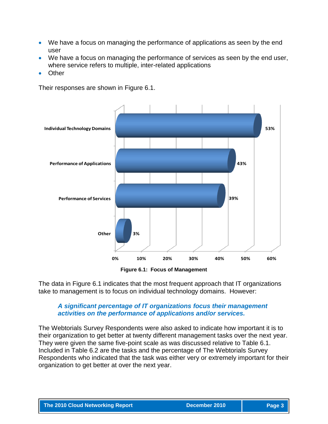- We have a focus on managing the performance of applications as seen by the end user
- We have a focus on managing the performance of services as seen by the end user, where service refers to multiple, inter-related applications
- Other

Their responses are shown in Figure 6.1.



**Figure 6.1: Focus of Management**

The data in Figure 6.1 indicates that the most frequent approach that IT organizations take to management is to focus on individual technology domains. However:

#### *A significant percentage of IT organizations focus their management activities on the performance of applications and/or services.*

The Webtorials Survey Respondents were also asked to indicate how important it is to their organization to get better at twenty different management tasks over the next year. They were given the same five-point scale as was discussed relative to Table 6.1. Included in Table 6.2 are the tasks and the percentage of The Webtorials Survey Respondents who indicated that the task was either very or extremely important for their organization to get better at over the next year.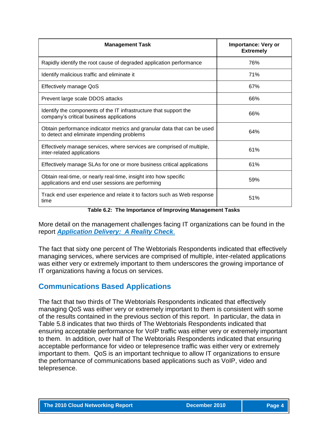| <b>Management Task</b>                                                                                                | <b>Importance: Very or</b><br><b>Extremely</b> |
|-----------------------------------------------------------------------------------------------------------------------|------------------------------------------------|
| Rapidly identify the root cause of degraded application performance                                                   | 76%                                            |
| Identify malicious traffic and eliminate it                                                                           | 71%                                            |
| <b>Effectively manage QoS</b>                                                                                         | 67%                                            |
| Prevent large scale DDOS attacks                                                                                      | 66%                                            |
| Identify the components of the IT infrastructure that support the<br>company's critical business applications         | 66%                                            |
| Obtain performance indicator metrics and granular data that can be used<br>to detect and eliminate impending problems | 64%                                            |
| Effectively manage services, where services are comprised of multiple,<br>inter-related applications                  | 61%                                            |
| Effectively manage SLAs for one or more business critical applications                                                | 61%                                            |
| Obtain real-time, or nearly real-time, insight into how specific<br>applications and end user sessions are performing | 59%                                            |
| Track end user experience and relate it to factors such as Web response<br>time                                       | 51%                                            |

**Table 6.2: The Importance of Improving Management Tasks**

More detail on the management challenges facing IT organizations can be found in the report *[Application Delivery: A Reality Check](http://www.webtorials.com/content/2010/04/2010-app-del.html)*.

The fact that sixty one percent of The Webtorials Respondents indicated that effectively managing services, where services are comprised of multiple, inter-related applications was either very or extremely important to them underscores the growing importance of IT organizations having a focus on services.

# **Communications Based Applications**

The fact that two thirds of The Webtorials Respondents indicated that effectively managing QoS was either very or extremely important to them is consistent with some of the results contained in the previous section of this report. In particular, the data in Table 5.8 indicates that two thirds of The Webtorials Respondents indicated that ensuring acceptable performance for VoIP traffic was either very or extremely important to them. In addition, over half of The Webtorials Respondents indicated that ensuring acceptable performance for video or telepresence traffic was either very or extremely important to them. QoS is an important technique to allow IT organizations to ensure the performance of communications based applications such as VoIP, video and telepresence.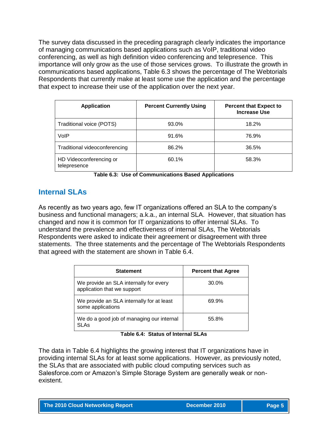The survey data discussed in the preceding paragraph clearly indicates the importance of managing communications based applications such as VoIP, traditional video conferencing, as well as high definition video conferencing and telepresence. This importance will only grow as the use of those services grows. To illustrate the growth in communications based applications, Table 6.3 shows the percentage of The Webtorials Respondents that currently make at least some use the application and the percentage that expect to increase their use of the application over the next year.

| <b>Application</b>                      | <b>Percent Currently Using</b> | <b>Percent that Expect to</b><br><b>Increase Use</b> |
|-----------------------------------------|--------------------------------|------------------------------------------------------|
| Traditional voice (POTS)                | 93.0%                          | 18.2%                                                |
| VoIP                                    | 91.6%                          | 76.9%                                                |
| Traditional videoconferencing           | 86.2%                          | 36.5%                                                |
| HD Videoconferencing or<br>telepresence | 60.1%                          | 58.3%                                                |

**Table 6.3: Use of Communications Based Applications**

# **Internal SLAs**

As recently as two years ago, few IT organizations offered an SLA to the company's business and functional managers; a.k.a., an internal SLA. However, that situation has changed and now it is common for IT organizations to offer internal SLAs. To understand the prevalence and effectiveness of internal SLAs, The Webtorials Respondents were asked to indicate their agreement or disagreement with three statements. The three statements and the percentage of The Webtorials Respondents that agreed with the statement are shown in Table 6.4.

| <b>Statement</b>                                                      | <b>Percent that Agree</b> |
|-----------------------------------------------------------------------|---------------------------|
| We provide an SLA internally for every<br>application that we support | 30.0%                     |
| We provide an SLA internally for at least<br>some applications        | 69.9%                     |
| We do a good job of managing our internal<br>SLAs                     | 55.8%                     |

**Table 6.4: Status of Internal SLAs**

The data in Table 6.4 highlights the growing interest that IT organizations have in providing internal SLAs for at least some applications. However, as previously noted, the SLAs that are associated with public cloud computing services such as Salesforce.com or Amazon's Simple Storage System are generally weak or nonexistent.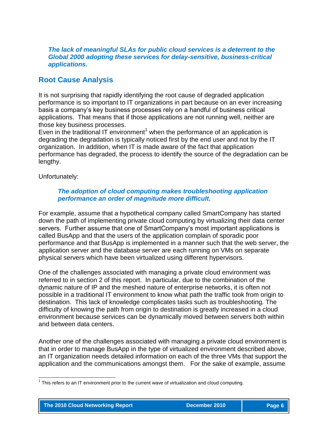*The lack of meaningful SLAs for public cloud services is a deterrent to the Global 2000 adopting these services for delay-sensitive, business-critical applications.*

#### **Root Cause Analysis**

It is not surprising that rapidly identifying the root cause of degraded application performance is so important to IT organizations in part because on an ever increasing basis a company's key business processes rely on a handful of business critical applications. That means that if those applications are not running well, neither are those key business processes.

Even in the traditional IT environment<sup>1</sup> when the performance of an application is degrading the degradation is typically noticed first by the end user and not by the IT organization. In addition, when IT is made aware of the fact that application performance has degraded, the process to identify the source of the degradation can be lengthy.

Unfortunately:

#### *The adoption of cloud computing makes troubleshooting application performance an order of magnitude more difficult.*

For example, assume that a hypothetical company called SmartCompany has started down the path of implementing private cloud computing by virtualizing their data center servers. Further assume that one of SmartCompany's most important applications is called BusApp and that the users of the application complain of sporadic poor performance and that BusApp is implemented in a manner such that the web server, the application server and the database server are each running on VMs on separate physical servers which have been virtualized using different hypervisors.

One of the challenges associated with managing a private cloud environment was referred to in section 2 of this report. In particular, due to the combination of the dynamic nature of IP and the meshed nature of enterprise networks, it is often not possible in a traditional IT environment to know what path the traffic took from origin to destination. This lack of knowledge complicates tasks such as troubleshooting. The difficulty of knowing the path from origin to destination is greatly increased in a cloud environment because services can be dynamically moved between servers both within and between data centers.

Another one of the challenges associated with managing a private cloud environment is that in order to manage BusApp in the type of virtualized environment described above, an IT organization needs detailed information on each of the three VMs that support the application and the communications amongst them. For the sake of example, assume

 1 This refers to an IT environment prior to the current wave of virtualization and cloud computing.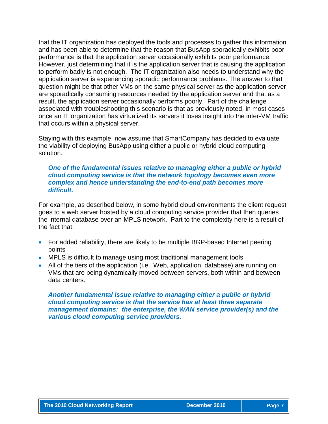that the IT organization has deployed the tools and processes to gather this information and has been able to determine that the reason that BusApp sporadically exhibits poor performance is that the application server occasionally exhibits poor performance. However, just determining that it is the application server that is causing the application to perform badly is not enough. The IT organization also needs to understand why the application server is experiencing sporadic performance problems. The answer to that question might be that other VMs on the same physical server as the application server are sporadically consuming resources needed by the application server and that as a result, the application server occasionally performs poorly. Part of the challenge associated with troubleshooting this scenario is that as previously noted, in most cases once an IT organization has virtualized its servers it loses insight into the inter-VM traffic that occurs within a physical server.

Staying with this example, now assume that SmartCompany has decided to evaluate the viability of deploying BusApp using either a public or hybrid cloud computing solution.

#### *One of the fundamental issues relative to managing either a public or hybrid cloud computing service is that the network topology becomes even more complex and hence understanding the end-to-end path becomes more difficult.*

For example, as described below, in some hybrid cloud environments the client request goes to a web server hosted by a cloud computing service provider that then queries the internal database over an MPLS network. Part to the complexity here is a result of the fact that:

- For added reliability, there are likely to be multiple BGP-based Internet peering points
- MPLS is difficult to manage using most traditional management tools
- All of the tiers of the application (i.e., Web, application, database) are running on VMs that are being dynamically moved between servers, both within and between data centers.

*Another fundamental issue relative to managing either a public or hybrid cloud computing service is that the service has at least three separate management domains: the enterprise, the WAN service provider(s) and the various cloud computing service providers.*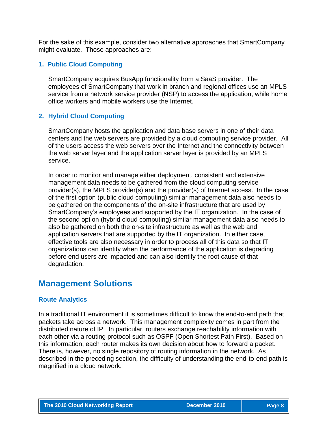For the sake of this example, consider two alternative approaches that SmartCompany might evaluate. Those approaches are:

#### **1. Public Cloud Computing**

SmartCompany acquires BusApp functionality from a SaaS provider. The employees of SmartCompany that work in branch and regional offices use an MPLS service from a network service provider (NSP) to access the application, while home office workers and mobile workers use the Internet.

#### **2. Hybrid Cloud Computing**

SmartCompany hosts the application and data base servers in one of their data centers and the web servers are provided by a cloud computing service provider. All of the users access the web servers over the Internet and the connectivity between the web server layer and the application server layer is provided by an MPLS service.

In order to monitor and manage either deployment, consistent and extensive management data needs to be gathered from the cloud computing service provider(s), the MPLS provider(s) and the provider(s) of Internet access. In the case of the first option (public cloud computing) similar management data also needs to be gathered on the components of the on-site infrastructure that are used by SmartCompany's employees and supported by the IT organization. In the case of the second option (hybrid cloud computing) similar management data also needs to also be gathered on both the on-site infrastructure as well as the web and application servers that are supported by the IT organization. In either case, effective tools are also necessary in order to process all of this data so that IT organizations can identify when the performance of the application is degrading before end users are impacted and can also identify the root cause of that degradation.

# **Management Solutions**

#### **Route Analytics**

In a traditional IT environment it is sometimes difficult to know the end-to-end path that packets take across a network. This management complexity comes in part from the distributed nature of IP. In particular, routers exchange reachability information with each other via a routing protocol such as OSPF (Open Shortest Path First). Based on this information, each router makes its own decision about how to forward a packet. There is, however, no single repository of routing information in the network. As described in the preceding section, the difficulty of understanding the end-to-end path is magnified in a cloud network.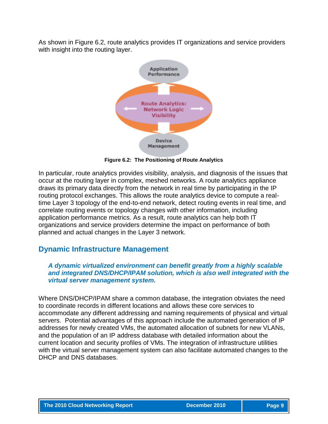As shown in Figure 6.2, route analytics provides IT organizations and service providers with insight into the routing layer.



**Figure 6.2: The Positioning of Route Analytics**

In particular, route analytics provides visibility, analysis, and diagnosis of the issues that occur at the routing layer in complex, meshed networks. A route analytics appliance draws its primary data directly from the network in real time by participating in the IP routing protocol exchanges. This allows the route analytics device to compute a realtime Layer 3 topology of the end-to-end network, detect routing events in real time, and correlate routing events or topology changes with other information, including application performance metrics. As a result, route analytics can help both IT organizations and service providers determine the impact on performance of both planned and actual changes in the Layer 3 network.

#### **Dynamic Infrastructure Management**

#### *A dynamic virtualized environment can benefit greatly from a highly scalable and integrated DNS/DHCP/IPAM solution, which is also well integrated with the virtual server management system.*

Where DNS/DHCP/IPAM share a common database, the integration obviates the need to coordinate records in different locations and allows these core services to accommodate any different addressing and naming requirements of physical and virtual servers. Potential advantages of this approach include the automated generation of IP addresses for newly created VMs, the automated allocation of subnets for new VLANs, and the population of an IP address database with detailed information about the current location and security profiles of VMs. The integration of infrastructure utilities with the virtual server management system can also facilitate automated changes to the DHCP and DNS databases.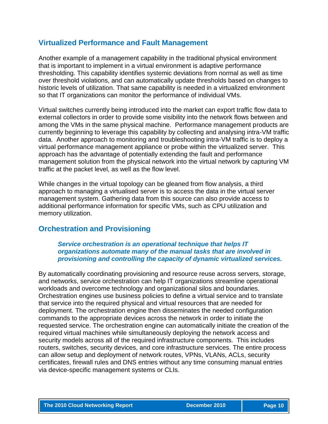#### **Virtualized Performance and Fault Management**

Another example of a management capability in the traditional physical environment that is important to implement in a virtual environment is adaptive performance thresholding. This capability identifies systemic deviations from normal as well as time over threshold violations, and can automatically update thresholds based on changes to historic levels of utilization. That same capability is needed in a virtualized environment so that IT organizations can monitor the performance of individual VMs.

Virtual switches currently being introduced into the market can export traffic flow data to external collectors in order to provide some visibility into the network flows between and among the VMs in the same physical machine. Performance management products are currently beginning to leverage this capability by collecting and analysing intra-VM traffic data. Another approach to monitoring and troubleshooting intra-VM traffic is to deploy a virtual performance management appliance or probe within the virtualized server. This approach has the advantage of potentially extending the fault and performance management solution from the physical network into the virtual network by capturing VM traffic at the packet level, as well as the flow level.

While changes in the virtual topology can be gleaned from flow analysis, a third approach to managing a virtualised server is to access the data in the virtual server management system. Gathering data from this source can also provide access to additional performance information for specific VMs, such as CPU utilization and memory utilization.

#### **Orchestration and Provisioning**

#### *Service orchestration is an operational technique that helps IT organizations automate many of the manual tasks that are involved in provisioning and controlling the capacity of dynamic virtualized services.*

By automatically coordinating provisioning and resource reuse across servers, storage, and networks, service orchestration can help IT organizations streamline operational workloads and overcome technology and organizational silos and boundaries. Orchestration engines use business policies to define a virtual service and to translate that service into the required physical and virtual resources that are needed for deployment. The orchestration engine then disseminates the needed configuration commands to the appropriate devices across the network in order to initiate the requested service. The orchestration engine can automatically initiate the creation of the required virtual machines while simultaneously deploying the network access and security models across all of the required infrastructure components. This includes routers, switches, security devices, and core infrastructure services. The entire process can allow setup and deployment of network routes, VPNs, VLANs, ACLs, security certificates, firewall rules and DNS entries without any time consuming manual entries via device-specific management systems or CLIs.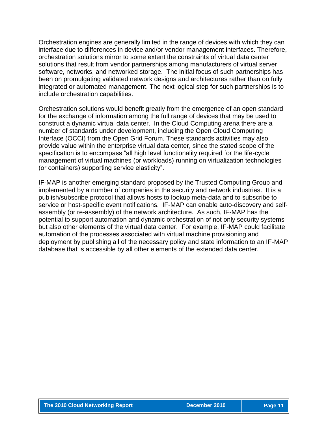Orchestration engines are generally limited in the range of devices with which they can interface due to differences in device and/or vendor management interfaces. Therefore, orchestration solutions mirror to some extent the constraints of virtual data center solutions that result from vendor partnerships among manufacturers of virtual server software, networks, and networked storage. The initial focus of such partnerships has been on promulgating validated network designs and architectures rather than on fully integrated or automated management. The next logical step for such partnerships is to include orchestration capabilities.

Orchestration solutions would benefit greatly from the emergence of an open standard for the exchange of information among the full range of devices that may be used to construct a dynamic virtual data center. In the Cloud Computing arena there are a number of standards under development, including the Open Cloud Computing Interface (OCCI) from the Open Grid Forum. These standards activities may also provide value within the enterprise virtual data center, since the stated scope of the specification is to encompass "all high level functionality required for the life-cycle management of virtual machines (or workloads) running on virtualization technologies (or containers) supporting service elasticity".

IF-MAP is another emerging standard proposed by the Trusted Computing Group and implemented by a number of companies in the security and network industries. It is a publish/subscribe protocol that allows hosts to lookup meta-data and to subscribe to service or host-specific event notifications. IF-MAP can enable auto-discovery and selfassembly (or re-assembly) of the network architecture. As such, IF-MAP has the potential to support automation and dynamic orchestration of not only security systems but also other elements of the virtual data center. For example, IF-MAP could facilitate automation of the processes associated with virtual machine provisioning and deployment by publishing all of the necessary policy and state information to an IF-MAP database that is accessible by all other elements of the extended data center.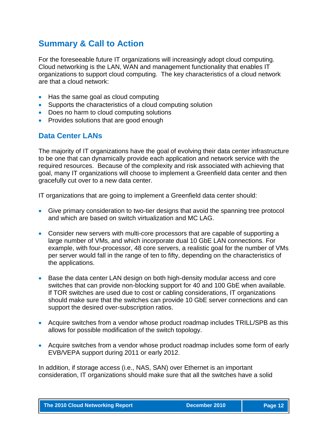# **Summary & Call to Action**

For the foreseeable future IT organizations will increasingly adopt cloud computing. Cloud networking is the LAN, WAN and management functionality that enables IT organizations to support cloud computing. The key characteristics of a cloud network are that a cloud network:

- Has the same goal as cloud computing
- Supports the characteristics of a cloud computing solution
- Does no harm to cloud computing solutions
- Provides solutions that are good enough

#### **Data Center LANs**

The majority of IT organizations have the goal of evolving their data center infrastructure to be one that can dynamically provide each application and network service with the required resources. Because of the complexity and risk associated with achieving that goal, many IT organizations will choose to implement a Greenfield data center and then gracefully cut over to a new data center.

IT organizations that are going to implement a Greenfield data center should:

- Give primary consideration to two-tier designs that avoid the spanning tree protocol and which are based on switch virtualization and MC LAG.
- Consider new servers with multi-core processors that are capable of supporting a large number of VMs, and which incorporate dual 10 GbE LAN connections. For example, with four-processor, 48 core servers, a realistic goal for the number of VMs per server would fall in the range of ten to fifty, depending on the characteristics of the applications.
- Base the data center LAN design on both high-density modular access and core switches that can provide non-blocking support for 40 and 100 GbE when available. If TOR switches are used due to cost or cabling considerations, IT organizations should make sure that the switches can provide 10 GbE server connections and can support the desired over-subscription ratios.
- Acquire switches from a vendor whose product roadmap includes TRILL/SPB as this allows for possible modification of the switch topology.
- Acquire switches from a vendor whose product roadmap includes some form of early EVB/VEPA support during 2011 or early 2012.

In addition, if storage access (i.e., NAS, SAN) over Ethernet is an important consideration, IT organizations should make sure that all the switches have a solid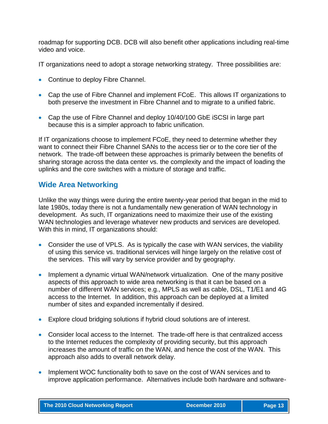roadmap for supporting DCB. DCB will also benefit other applications including real-time video and voice.

IT organizations need to adopt a storage networking strategy. Three possibilities are:

- Continue to deploy Fibre Channel.
- Cap the use of Fibre Channel and implement FCoE. This allows IT organizations to both preserve the investment in Fibre Channel and to migrate to a unified fabric.
- Cap the use of Fibre Channel and deploy 10/40/100 GbE iSCSI in large part because this is a simpler approach to fabric unification.

If IT organizations choose to implement FCoE, they need to determine whether they want to connect their Fibre Channel SANs to the access tier or to the core tier of the network. The trade-off between these approaches is primarily between the benefits of sharing storage across the data center vs. the complexity and the impact of loading the uplinks and the core switches with a mixture of storage and traffic.

### **Wide Area Networking**

Unlike the way things were during the entire twenty-year period that began in the mid to late 1980s, today there is not a fundamentally new generation of WAN technology in development. As such, IT organizations need to maximize their use of the existing WAN technologies and leverage whatever new products and services are developed. With this in mind, IT organizations should:

- Consider the use of VPLS. As is typically the case with WAN services, the viability of using this service vs. traditional services will hinge largely on the relative cost of the services. This will vary by service provider and by geography.
- Implement a dynamic virtual WAN/network virtualization. One of the many positive aspects of this approach to wide area networking is that it can be based on a number of different WAN services; e.g., MPLS as well as cable, DSL, T1/E1 and 4G access to the Internet. In addition, this approach can be deployed at a limited number of sites and expanded incrementally if desired.
- Explore cloud bridging solutions if hybrid cloud solutions are of interest.
- Consider local access to the Internet. The trade-off here is that centralized access to the Internet reduces the complexity of providing security, but this approach increases the amount of traffic on the WAN, and hence the cost of the WAN. This approach also adds to overall network delay.
- Implement WOC functionality both to save on the cost of WAN services and to improve application performance. Alternatives include both hardware and software-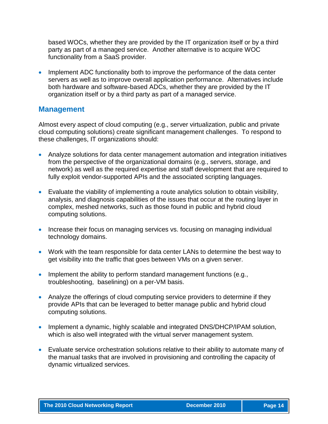based WOCs, whether they are provided by the IT organization itself or by a third party as part of a managed service. Another alternative is to acquire WOC functionality from a SaaS provider.

• Implement ADC functionality both to improve the performance of the data center servers as well as to improve overall application performance. Alternatives include both hardware and software-based ADCs, whether they are provided by the IT organization itself or by a third party as part of a managed service.

#### **Management**

Almost every aspect of cloud computing (e.g., server virtualization, public and private cloud computing solutions) create significant management challenges. To respond to these challenges, IT organizations should:

- Analyze solutions for data center management automation and integration initiatives from the perspective of the organizational domains (e.g., servers, storage, and network) as well as the required expertise and staff development that are required to fully exploit vendor-supported APIs and the associated scripting languages.
- Evaluate the viability of implementing a route analytics solution to obtain visibility, analysis, and diagnosis capabilities of the issues that occur at the routing layer in complex, meshed networks, such as those found in public and hybrid cloud computing solutions.
- Increase their focus on managing services vs. focusing on managing individual technology domains.
- Work with the team responsible for data center LANs to determine the best way to get visibility into the traffic that goes between VMs on a given server.
- Implement the ability to perform standard management functions  $(e.g.,)$ troubleshooting, baselining) on a per-VM basis.
- Analyze the offerings of cloud computing service providers to determine if they provide APIs that can be leveraged to better manage public and hybrid cloud computing solutions.
- Implement a dynamic, highly scalable and integrated DNS/DHCP/IPAM solution, which is also well integrated with the virtual server management system.
- Evaluate service orchestration solutions relative to their ability to automate many of the manual tasks that are involved in provisioning and controlling the capacity of dynamic virtualized services.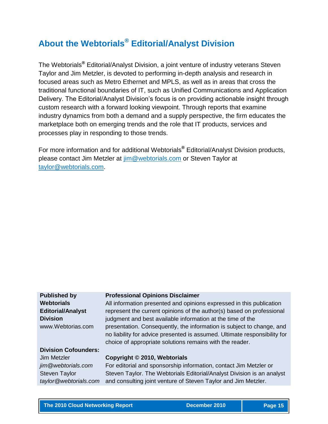# **About the Webtorials® Editorial/Analyst Division**

The Webtorials**®** Editorial/Analyst Division, a joint venture of industry veterans Steven Taylor and Jim Metzler, is devoted to performing in-depth analysis and research in focused areas such as Metro Ethernet and MPLS, as well as in areas that cross the traditional functional boundaries of IT, such as Unified Communications and Application Delivery. The Editorial/Analyst Division's focus is on providing actionable insight through custom research with a forward looking viewpoint. Through reports that examine industry dynamics from both a demand and a supply perspective, the firm educates the marketplace both on emerging trends and the role that IT products, services and processes play in responding to those trends.

For more information and for additional Webtorials**®** Editorial/Analyst Division products, please contact Jim Metzler at  $\lim_{m \to \infty}$  webtorials.com or Steven Taylor at [taylor@webtorials.com.](mailto:taylor@webtorials.com)

#### **Professional Opinions Disclaimer**

All information presented and opinions expressed in this publication represent the current opinions of the author(s) based on professional judgment and best available information at the time of the presentation. Consequently, the information is subject to change, and no liability for advice presented is assumed. Ultimate responsibility for choice of appropriate solutions remains with the reader.

#### **Division Cofounders:**

**Published by Webtorials**

**Division**

**Editorial/Analyst** 

www.Webtorias.com

Jim Metzler *jim@webtorials.com* Steven Taylor *taylor@webtorials.com*

# **Copyright © 2010, Webtorials**

For editorial and sponsorship information, contact Jim Metzler or Steven Taylor. The Webtorials Editorial/Analyst Division is an analyst and consulting joint venture of Steven Taylor and Jim Metzler.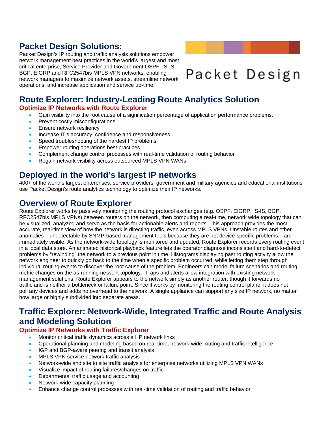# **Packet Design Solutions:**

Packet Design's IP routing and traffic analysis solutions empower network management best practices in the world's largest and most critical enterprise, Service Provider and Government OSPF, IS-IS, BGP, EIGRP and RFC2547bis MPLS VPN networks, enabling network managers to maximize network assets, streamline network operations, and increase application and service up-time.

# Packet Design

# **Route Explorer: Industry-Leading Route Analytics Solution Optimize IP Networks with Route Explorer**

- Gain visibility into the root cause of a signification percentage of application performance problems.
- Prevent costly misconfigurations
- Ensure network resiliency
- Increase IT's accuracy, confidence and responsiveness
- Speed troubleshooting of the hardest IP problems
- Empower routing operations best practices
- Complement change control processes with real-time validation of routing behavior
- Regain network visibility across outsourced MPLS VPN WANs

# **Deployed in the world's largest IP networks**

400+ of the world's largest enterprises, service providers, government and military agencies and educational institutions use Packet Design's route analytics technology to optimize their IP networks.

# **Overview of Route Explorer**

Route Explorer works by passively monitoring the routing protocol exchanges (e.g. OSPF, EIGRP, IS-IS, BGP, RFC2547bis MPLS VPNs) between routers on the network, then computing a real-time, network wide topology that can be visualized, analyzed and serve as the basis for actionable alerts and reports. This approach provides the most accurate, real-time view of how the network is directing traffic, even across MPLS VPNs. Unstable routes and other anomalies – undetectable by SNMP-based management tools because they are not device-specific problems – are immediately visible. As the network-wide topology is monitored and updated, Route Explorer records every routing event in a local data store. An animated historical playback feature lets the operator diagnose inconsistent and hard-to-detect problems by "rewinding" the network to a previous point in time. Histograms displaying past routing activity allow the network engineer to quickly go back to the time when a specific problem occurred, while letting them step through individual routing events to discover the root cause of the problem. Engineers can model failure scenarios and routing metric changes on the as-running network topology. Traps and alerts allow integration with existing network management solutions. Route Explorer appears to the network simply as another router, though it forwards no traffic and is neither a bottleneck or failure point. Since it works by monitoring the routing control plane, it does not poll any devices and adds no overhead to the network. A single appliance can support any size IP network, no matter how large or highly subdivided into separate areas.

# **Traffic Explorer: Network-Wide, Integrated Traffic and Route Analysis and Modeling Solution**

#### **Optimize IP Networks with Traffic Explorer**

- Monitor critical traffic dynamics across all IP network links
- Operational planning and modeling based on real-time, network-wide routing and traffic intelligence
- IGP and BGP-aware peering and transit analysis
- MPLS VPN service network traffic analysis
- Network-wide and site to site traffic analysis for enterprise networks utilizing MPLS VPN WANs
- Visualize impact of routing failures/changes on traffic
- Departmental traffic usage and accounting
- Network-wide capacity planning
- Enhance change control processes with real-time validation of routing and traffic behavior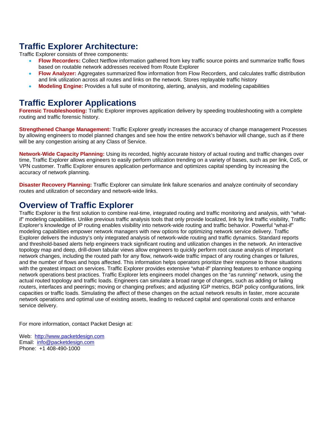# **Traffic Explorer Architecture:**

Traffic Explorer consists of three components:

- **Flow Recorders:** Collect Netflow information gathered from key traffic source points and summarize traffic flows based on routable network addresses received from Route Explorer
- **Flow Analyzer:** Aggregates summarized flow information from Flow Recorders, and calculates traffic distribution and link utilization across all routes and links on the network. Stores replayable traffic history
- **Modeling Engine:** Provides a full suite of monitoring, alerting, analysis, and modeling capabilities

# **Traffic Explorer Applications**

**Forensic Troubleshooting:** Traffic Explorer improves application delivery by speeding troubleshooting with a complete routing and traffic forensic history.

**Strengthened Change Management:** Traffic Explorer greatly increases the accuracy of change management Processes by allowing engineers to model planned changes and see how the entire network's behavior will change, such as if there will be any congestion arising at any Class of Service.

**Network-Wide Capacity Planning:** Using its recorded, highly accurate history of actual routing and traffic changes over time, Traffic Explorer allows engineers to easily perform utilization trending on a variety of bases, such as per link, CoS, or VPN customer. Traffic Explorer ensures application performance and optimizes capital spending by increasing the accuracy of network planning.

**Disaster Recovery Planning:** Traffic Explorer can simulate link failure scenarios and analyze continuity of secondary routes and utilization of secondary and network-wide links.

# **Overview of Traffic Explorer**

Traffic Explorer is the first solution to combine real-time, integrated routing and traffic monitoring and analysis, with "whatif" modeling capabilities. Unlike previous traffic analysis tools that only provide localized, link by link traffic visibility, Traffic Explorer's knowledge of IP routing enables visibility into network-wide routing and traffic behavior. Powerful "what-if" modeling capabilities empower network managers with new options for optimizing network service delivery. Traffic Explorer delivers the industry's only integrated analysis of network-wide routing and traffic dynamics. Standard reports and threshold-based alerts help engineers track significant routing and utilization changes in the network. An interactive topology map and deep, drill-down tabular views allow engineers to quickly perform root cause analysis of important network changes, including the routed path for any flow, network-wide traffic impact of any routing changes or failures, and the number of flows and hops affected. This information helps operators prioritize their response to those situations with the greatest impact on services. Traffic Explorer provides extensive "what-if" planning features to enhance ongoing network operations best practices. Traffic Explorer lets engineers model changes on the "as running" network, using the actual routed topology and traffic loads. Engineers can simulate a broad range of changes, such as adding or failing routers, interfaces and peerings; moving or changing prefixes; and adjusting IGP metrics, BGP policy configurations, link capacities or traffic loads. Simulating the affect of these changes on the actual network results in faster, more accurate network operations and optimal use of existing assets, leading to reduced capital and operational costs and enhance service delivery.

For more information, contact Packet Design at:

Web: [http://www.packetdesign.com](http://www.packetdesign.com/) Email: [info@packetdesign.com](mailto:info@packetdesign.com) Phone: +1 408-490-1000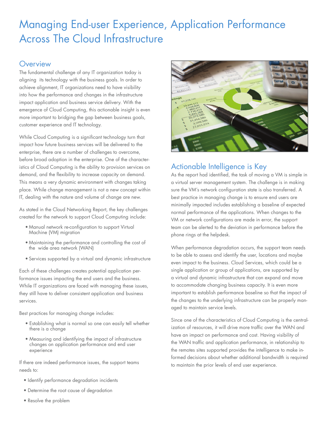# Managing End-user Experience, Application Performance Across The Cloud Infrastructure

#### **Overview**

The fundamental challenge of any IT organization today is aligning its technology with the business goals. In order to achieve alignment, IT organizations need to have visibility into how the performance and changes in the infrastructure impact application and business service delivery. With the emergence of Cloud Computing, this actionable insight is even more important to bridging the gap between business goals, customer experience and IT technology.

While Cloud Computing is a significant technology turn that impact how future business services will be delivered to the enterprise, there are a number of challenges to overcome, before broad adoption in the enterprise. One of the characteristics of Cloud Computing is the ability to provision services on demand, and the flexibility to increase capacity on demand. This means a very dynamic environment with changes taking place. While change management is not a new concept within IT, dealing with the nature and volume of change are new.

As stated in the Cloud Networking Report, the key challenges created for the network to support Cloud Computing include:

- • Manual network re-configuration to support Virtual Machine (VM) migration
- • Maintaining the performance and controlling the cost of the wide area network (WAN)
- • Services supported by a virtual and dynamic infrastructure

Each of these challenges creates potential application performance issues impacting the end users and the business. While IT organizations are faced with managing these issues, they still have to deliver consistent application and business services.

Best practices for managing change includes:

- Establishing what is normal so one can easily tell whether there is a change
- • Measuring and identifying the impact of infrastructure changes on application performance and end user experience

If there are indeed performance issues, the support teams needs to:

- • Identify performance degradation incidents
- • Determine the root cause of degradation
- Resolve the problem



# Actionable Intelligence is Key

As the report had identified, the task of moving a VM is simple in a virtual server management system. The challenge is in making sure the VM's network configuration state is also transferred. A best practice in managing change is to ensure end users are minimally impacted includes establishing a baseline of expected normal performance of the applications. When changes to the VM or network configurations are made in error, the support team can be alerted to the deviation in performance before the phone rings at the helpdesk.

When performance degradation occurs, the support team needs to be able to assess and identify the user, locations and maybe even impact to the business. Cloud Services, which could be a single application or group of applications, are supported by a virtual and dynamic infrastructure that can expand and move to accommodate changing business capacity. It is even more important to establish performance baseline so that the impact of the changes to the underlying infrastructure can be properly managed to maintain service levels.

Since one of the characteristics of Cloud Computing is the centralization of resources, it will drive more traffic over the WAN and have an impact on performance and cost. Having visibility of the WAN traffic and application performance, in relationship to the remotes sites supported provides the intelligence to make informed decisions about whether additional bandwidth is required to maintain the prior levels of end user experience.